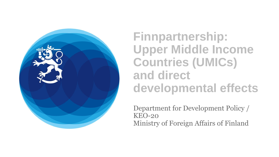

**Finnpartnership: Upper Middle Income Countries (UMICs) and direct developmental effects** 

Department for Development Policy / KEO-20 Ministry of Foreign Affairs of Finland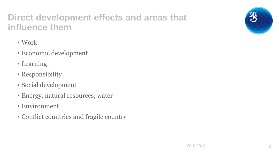### **Direct development effects and areas that influence them**

- Work
- Economic development
- Learning
- Responsibility
- Social development
- Energy, natural resources, water
- Environment
- Conflict countries and fragile country

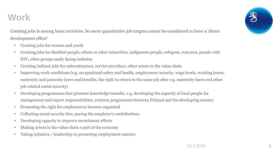## **Work**

Creating jobs is among basic activities. So mere quantitative job targets cannot be considered to have a 'direct development effect'

- Creating jobs for women and youth
- Creating jobs for disabled people, ethnic or other minorities, indigenous people, refugees, evacuees, people with HIV, other groups easily facing isolation
- Creating indirect jobs for subcontractors, service providers, other actors in the value chain
- Improving work conditions (e.g. occupational safety and health, employment security, wage levels, working hours, maternity and paternity leave and benefits, the right to return to the same job after e.g. maternity leave and other job-related social security)
- Developing programmes that promote knowledge transfer, e.g. developing the capacity of local people for management and expert responsibilities; rotation programmes between Finland and the developing country
- Promoting the right for employees to become organised
- Collecting social security fees, paying the employer's contributions
- Developing capacity to improve recruitment efforts
- Making actors in the value chain a part of the economy
- Taking initiative / leadership in promoting employment matters

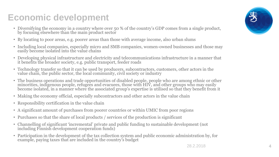# **Economic development**

- Diversifying the economy in a country where over 50 % of the country's GDP comes from a single product, by focusing elsewhere than the main product sector
- By locating to poor areas, e.g. poorer areas than those with average income, also urban slums
- Including local companies, especially micro and SMB companies, women-owned businesses and those may easily become isolated into the value chains
- Developing physical infrastructure and electricity and telecommunications infrastructure in a manner that it benefits the broader society, e.g. public transport, feeder roads
- Technology transfer so that it can be used by producers, subcontractors, customers, other actors in the value chain, the public sector, the local community, civil society or industry
- The business operations and trade opportunities of disabled people, people who are among ethnic or other minorities, indigenous people, refugees and evacuees, those with HIV, and other groups who may easily become isolated, in a manner where the associated group's expertise is utilised so that they benefit from it
- Making the economy official, especially subcontractors and other actors in the value chain
- Responsibility certification in the value chain
- A significant amount of purchases from poorer countries or within UMIC from poor regions
- Purchases so that the share of local products / services of the production is significant
- Channelling of significant 'incremental' private and public funding to sustainable development (not including Finnish development cooperation funds)
- Participation in the development of the tax collection system and public economic administration by, for example, paying taxes that are included in the country's budget

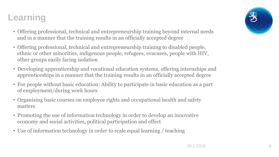## **Learning**

- Offering professional, technical and entrepreneurship training beyond internal needs and in a manner that the training results in an officially accepted degree
- Offering professional, technical and entrepreneurship training to disabled people, ethnic or other minorities, indigenous people, refugees, evacuees, people with HIV, other groups easily facing isolation
- Developing apprenticeship and vocational education systems, offering internships and apprenticeships in a manner that the training results in an officially accepted degree
- For people without basic education: Ability to participate in basic education as a part of employment/during work hours
- Organising basic courses on employee rights and occupational health and safety matters
- Promoting the use of information technology in order to develop an innovative economy and social activities, political participation and effect
- Use of information technology in order to scale equal learning / teaching

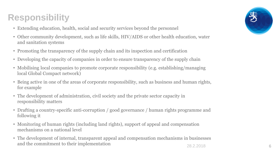# **Responsibility**

- Extending education, health, social and security services beyond the personnel
- Other community development, such as life skills, HIV/AIDS or other health education, water and sanitation systems
- Promoting the transparency of the supply chain and its inspection and certification
- Developing the capacity of companies in order to ensure transparency of the supply chain
- Mobilising local companies to promote corporate responsibility (e.g. establishing/managing local Global Compact network)
- Being active in one of the areas of corporate responsibility, such as business and human rights, for example
- The development of administration, civil society and the private sector capacity in responsibility matters
- Drafting a country-specific anti-corruption / good governance / human rights programme and following it
- Monitoring of human rights (including land rights), support of appeal and compensation mechanisms on a national level
- The development of internal, transparent appeal and compensation mechanisms in businesses and the commitment to their implementation 6

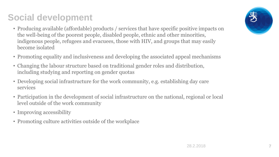# **Social development**

- Producing available (affordable) products / services that have specific positive impacts on the well-being of the poorest people, disabled people, ethnic and other minorities, indigenous people, refugees and evacuees, those with HIV, and groups that may easily become isolated
- Promoting equality and inclusiveness and developing the associated appeal mechanisms
- Changing the labour structure based on traditional gender roles and distribution, including studying and reporting on gender quotas
- Developing social infrastructure for the work community, e.g. establishing day care services
- Participation in the development of social infrastructure on the national, regional or local level outside of the work community
- Improving accessibility
- Promoting culture activities outside of the workplace



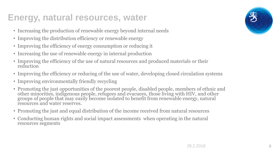### **Energy, natural resources, water**

- Increasing the production of renewable energy beyond internal needs
- Improving the distribution efficiency or renewable energy
- Improving the efficiency of energy consumption or reducing it
- Increasing the use of renewable energy in internal production
- Improving the efficiency of the use of natural resources and produced materials or their reduction
- Improving the efficiency or reducing of the use of water, developing closed circulation systems
- Improving environmentally friendly recycling
- Promoting the just opportunities of the poorest people, disabled people, members of ethnic and other minorities, indigenous people, refugees and evacuees, those living with HIV, and other groups of people that may easily become isolated to benefit from renewable energy, natural resources and water reserves.
- Promoting the just and equal distribution of the income received from natural resources
- Conducting human rights and social impact assessments when operating in the natural resources segments

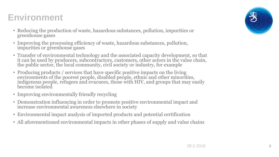## **Environment**

- Reducing the production of waste, hazardous substances, pollution, impurities or greenhouse gases
- Improving the processing efficiency of waste, hazardous substances, pollution, impurities or greenhouse gases
- Transfer of environmental technology and the associated capacity development, so that it can be used by producers, subcontractors, customers, other actors in the value chain, the public sector, the local community, civil society or industry, for example
- Producing products / services that have specific positive impacts on the living environments of the poorest people, disabled people, ethnic and other minorities, indigenous people, refugees and evacuees, those with HIV, and groups that may easily become isolated
- Improving environmentally friendly recycling
- Demonstration influencing in order to promote positive environmental impact and increase environmental awareness elsewhere in society
- Environmental impact analysis of imported products and potential certification
- All aforementioned environmental impacts in other phases of supply and value chains